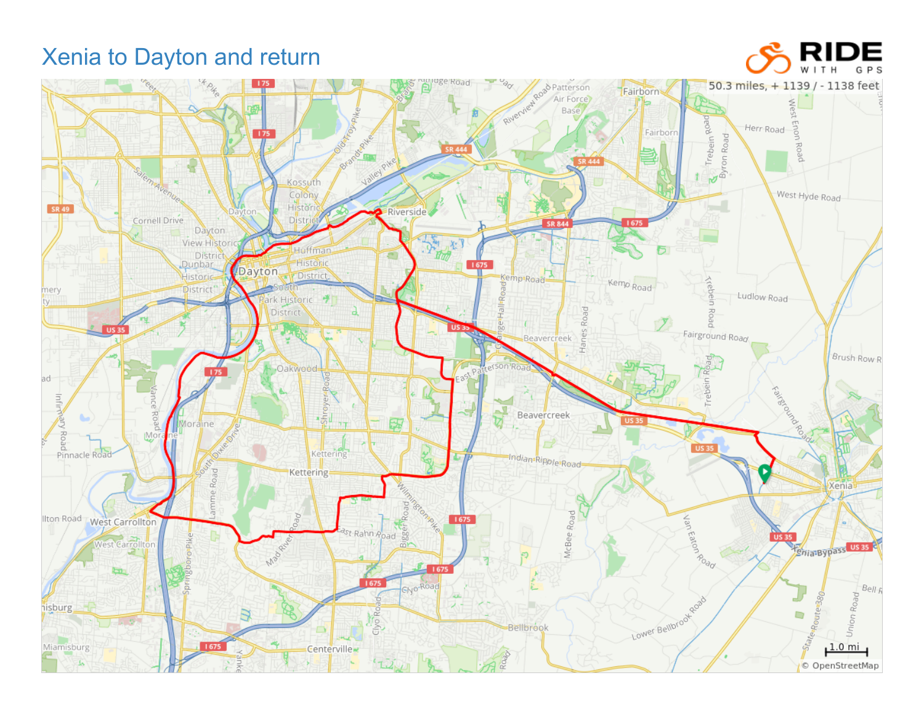## Xenia to Dayton and return



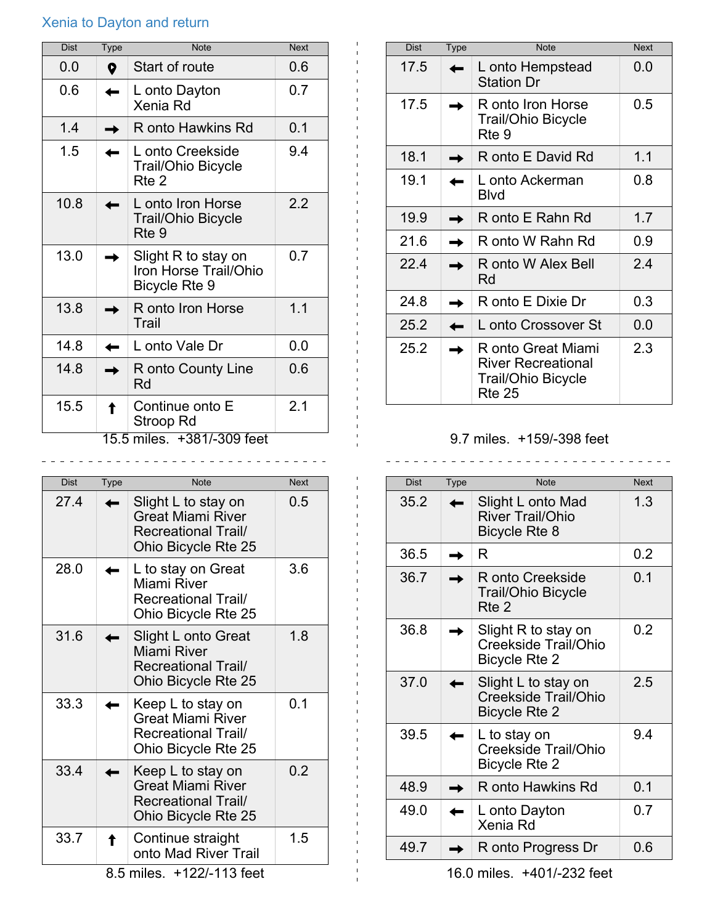## Xenia to Dayton and return

| Dist                       | Type | <b>Note</b>                                                   | <b>Next</b> |
|----------------------------|------|---------------------------------------------------------------|-------------|
| 0.0                        | 0    | Start of route                                                | 0.6         |
| 0.6                        |      | L onto Dayton<br>Xenia Rd                                     | 0.7         |
| 1.4                        |      | R onto Hawkins Rd                                             | 0.1         |
| 1.5                        |      | L onto Creekside<br><b>Trail/Ohio Bicycle</b><br>Rte 2        | 9.4         |
| 10.8                       |      | L onto Iron Horse<br><b>Trail/Ohio Bicycle</b><br>Rte 9       | 2.2         |
| 13.0                       |      | Slight R to stay on<br>Iron Horse Trail/Ohio<br>Bicycle Rte 9 | 0.7         |
| 13.8                       |      | R onto Iron Horse<br>Trail                                    | 1.1         |
| 14.8                       |      | L onto Vale Dr                                                | 0.0         |
| 14.8                       |      | R onto County Line<br>Rd                                      | 0.6         |
| 15.5                       |      | Continue onto E<br>Stroop Rd                                  | 2.1         |
| 15.5 miles. +381/-309 feet |      |                                                               |             |

| <b>Dist</b> | <b>Type</b> | <b>Note</b>                                                                                        | <b>Next</b> |
|-------------|-------------|----------------------------------------------------------------------------------------------------|-------------|
| 27.4        |             | Slight L to stay on<br>Great Miami River<br><b>Recreational Trail/</b><br>Ohio Bicycle Rte 25      | 0.5         |
| 28.0        |             | L to stay on Great<br>Miami River<br><b>Recreational Trail/</b><br>Ohio Bicycle Rte 25             | 3.6         |
| 31.6        |             | Slight L onto Great<br>Miami River<br><b>Recreational Trail/</b><br>Ohio Bicycle Rte 25            | 1.8         |
| 33.3        |             | Keep L to stay on<br><b>Great Miami River</b><br><b>Recreational Trail/</b><br>Ohio Bicycle Rte 25 | 0.1         |
| 33.4        |             | Keep L to stay on<br><b>Great Miami River</b><br><b>Recreational Trail/</b><br>Ohio Bicycle Rte 25 | 0.2         |
| 33.7        |             | Continue straight<br>onto Mad River Trail                                                          | 1.5         |

| <b>Dist</b> | <b>Type</b> | <b>Note</b>                                                                            | <b>Next</b> |
|-------------|-------------|----------------------------------------------------------------------------------------|-------------|
| 17.5        |             | L onto Hempstead<br><b>Station Dr</b>                                                  | 0.0         |
| 17.5        |             | R onto Iron Horse<br>Trail/Ohio Bicycle<br>Rte 9                                       | 0.5         |
| 18.1        |             | R onto E David Rd                                                                      | 1.1         |
| 19.1        |             | L onto Ackerman<br><b>Blvd</b>                                                         | 0.8         |
| 19.9        |             | R onto E Rahn Rd                                                                       | 1.7         |
| 21.6        |             | R onto W Rahn Rd                                                                       | 0.9         |
| 22 4        |             | R onto W Alex Bell<br>Rd                                                               | 2.4         |
| 24.8        |             | R onto E Dixie Dr                                                                      | 0.3         |
| 25.2        |             | L onto Crossover St                                                                    | 0.0         |
| 25.2        |             | R onto Great Miami<br><b>River Recreational</b><br>Trail/Ohio Bicycle<br><b>Rte 25</b> | 2.3         |

## 9.7 miles. +159/-398 feet

 $\mathbf{1}$ 

| Dist | Type        | <b>Note</b>                                                          | <b>Next</b> |
|------|-------------|----------------------------------------------------------------------|-------------|
| 35.2 | <b>STAR</b> | Slight L onto Mad<br><b>River Trail/Ohio</b><br><b>Bicycle Rte 8</b> | 1.3         |
| 36.5 |             | R                                                                    | 0.2         |
| 36.7 |             | R onto Creekside<br><b>Trail/Ohio Bicycle</b><br>Rte 2               | 0.1         |
| 36.8 |             | Slight R to stay on<br>Creekside Trail/Ohio<br><b>Bicycle Rte 2</b>  | 0.2         |
| 37.0 |             | Slight L to stay on<br>Creekside Trail/Ohio<br><b>Bicycle Rte 2</b>  | 2.5         |
| 39.5 |             | L to stay on<br>Creekside Trail/Ohio<br><b>Bicycle Rte 2</b>         | 9.4         |
| 48.9 |             | R onto Hawkins Rd                                                    | 0.1         |
| 49.0 |             | L onto Dayton<br>Xenia Rd                                            | 0.7         |
| 49.7 |             | R onto Progress Dr                                                   | 0.6         |

16.0 miles. +401/-232 feet